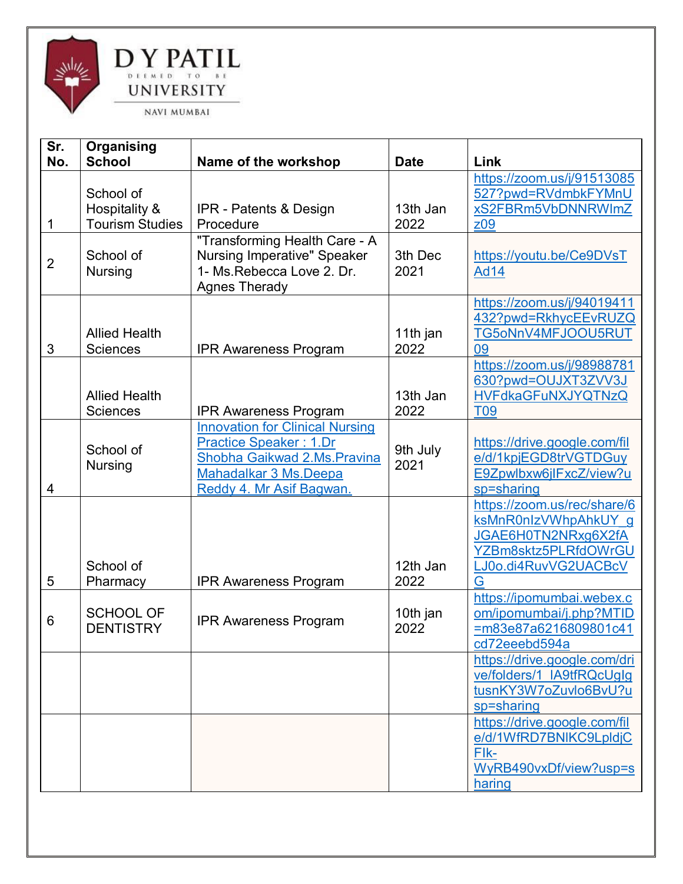

| Sr.<br>No.     | Organising<br><b>School</b>                          | Name of the workshop                                                                                                                                         | <b>Date</b>      | Link                                                                                                                            |
|----------------|------------------------------------------------------|--------------------------------------------------------------------------------------------------------------------------------------------------------------|------------------|---------------------------------------------------------------------------------------------------------------------------------|
| 1              | School of<br>Hospitality &<br><b>Tourism Studies</b> | <b>IPR</b> - Patents & Design<br>Procedure                                                                                                                   | 13th Jan<br>2022 | https://zoom.us/j/91513085<br>527?pwd=RVdmbkFYMnU<br>xS2FBRm5VbDNNRWImZ<br>z09                                                  |
| $\overline{2}$ | School of<br><b>Nursing</b>                          | "Transforming Health Care - A<br><b>Nursing Imperative" Speaker</b><br>1- Ms. Rebecca Love 2. Dr.<br><b>Agnes Therady</b>                                    | 3th Dec<br>2021  | https://youtu.be/Ce9DVsT<br><b>Ad14</b>                                                                                         |
| 3              | <b>Allied Health</b><br><b>Sciences</b>              | <b>IPR Awareness Program</b>                                                                                                                                 | 11th jan<br>2022 | https://zoom.us/j/94019411<br>432?pwd=RkhycEEvRUZQ<br>TG5oNnV4MFJOOU5RUT<br>09                                                  |
|                | <b>Allied Health</b><br><b>Sciences</b>              | <b>IPR Awareness Program</b>                                                                                                                                 | 13th Jan<br>2022 | https://zoom.us/j/98988781<br>630?pwd=OUJXT3ZVV3J<br><b>HVFdkaGFuNXJYQTNzQ</b><br><b>T09</b>                                    |
| 4              | School of<br><b>Nursing</b>                          | <b>Innovation for Clinical Nursing</b><br><b>Practice Speaker: 1.Dr</b><br>Shobha Gaikwad 2.Ms. Pravina<br>Mahadalkar 3 Ms.Deepa<br>Reddy 4. Mr Asif Bagwan. | 9th July<br>2021 | https://drive.google.com/fil<br>e/d/1kpjEGD8trVGTDGuy<br>E9Zpwlbxw6jlFxcZ/view?u<br>sp=sharing                                  |
| 5              | School of<br>Pharmacy                                | <b>IPR Awareness Program</b>                                                                                                                                 | 12th Jan<br>2022 | https://zoom.us/rec/share/6<br>ksMnR0nlzVWhpAhkUY g<br>JGAE6H0TN2NRxg6X2fA<br>YZBm8sktz5PLRfdOWrGU<br>LJ0o.di4RuvVG2UACBcV<br>G |
| 6              | <b>SCHOOL OF</b><br><b>DENTISTRY</b>                 | <b>IPR Awareness Program</b>                                                                                                                                 | 10th jan<br>2022 | https://ipomumbai.webex.c<br>om/ipomumbai/j.php?MTID<br>=m83e87a6216809801c41<br>cd72eeebd594a                                  |
|                |                                                      |                                                                                                                                                              |                  | https://drive.google.com/dri<br>ve/folders/1_IA9tfRQcUgIg<br>tusnKY3W7oZuvlo6BvU?u<br>sp=sharing                                |
|                |                                                      |                                                                                                                                                              |                  | https://drive.google.com/fil<br>e/d/1WfRD7BNIKC9LpldjC<br>Flk-<br>WyRB490vxDf/view?usp=s<br>haring                              |